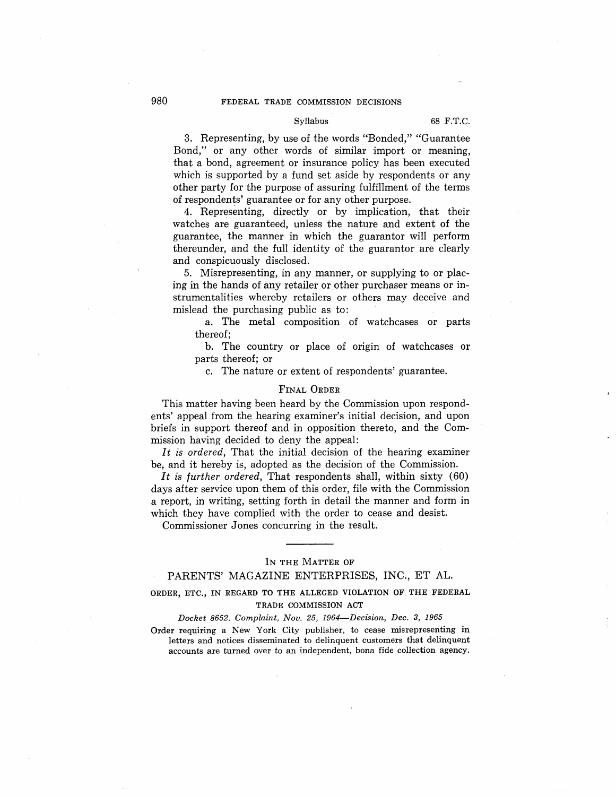### Syllabus 68 F.T.C.

3. Representing, by use of the words "Bonded," "Guarantee Bond," or any other words of similar import or meaning, that a bond, agreement or insurance policy has been executed which is supported by a fund set aside by respondents or any other party for the purpose of assuring fulfillment of the terms of respondents' guarantee or for any other purpose.

4. Representing, directly or by implication, that their watches are guaranteed, unless the nature and extent of the guarantee, the manner in which the guarantor will perform thereunder, and the full identity of the guarantor are clearly and conspicuously disclosed.

5. Misrepresenting, in any manner, or supplying to or placing in the hands of any retailer or other purchaser means or instrumentalities whereby retailers or others may deceive and mislead the purchasing public as to:

a. The metal composition of watchcases or parts thereof;

b. The country or place of origin of watchcases or parts thereof; or

c. The nature or extent of respondents' guarantee.

### FINAL ORDER

This matter having been heard by the Commission upon respondents' appeal from the hearing examiner's initial decision, and upon briefs in support thereof and in opposition thereto, and the Commission having decided to deny the appeal:

*It is ordered,* That the initial decision of the hearing examiner be, and it hereby is, adopted as the decision of the Commission.

*It is further ordered,* That respondents shall, within sixty (60) days after service upon them of this order, file with the Commission a report, in writing, setting forth in detail the manner and form in which they have complied with the order to cease and desist.

Commissioner Jones concurring in the result.

### IN THE MATTER OF

### PARENTS' MAGAZINE ENTERPRISES, INC., ET AL.

# **ORDER, ETC., IN REGARD TO THE ALLEGED VIOLATION OF THE FEDERAL TRADE COMMISSION ACT**

### *Docket 8652. Complaint, Nov. 25, 1964-Decision, Dec. 3, 1965*

Order requiring a New York City publisher, to cease misrepresenting in letters and notices disseminated to delinquent customers that delinquent accounts are turned over to an independent, bona fide collection agency.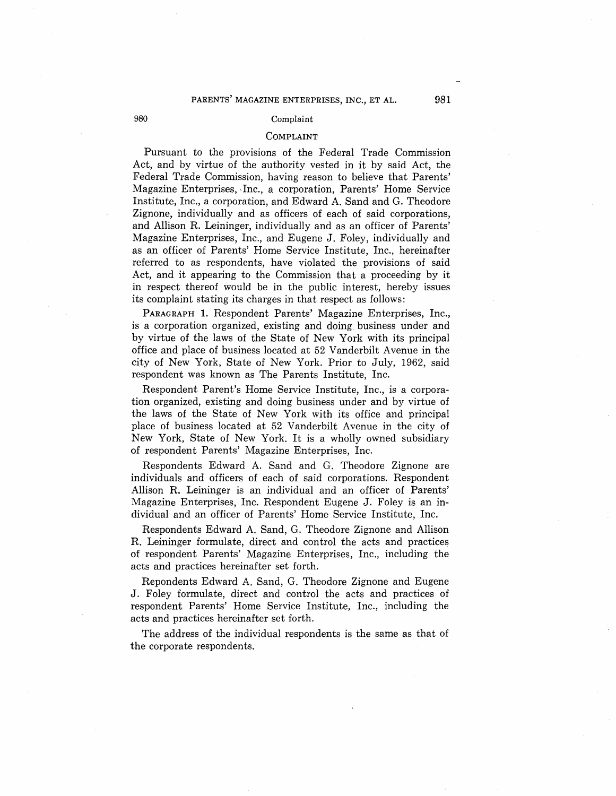### 980 Complaint

## COMPLAINT

Pursuant to the provisions of the Federal Trade Commission Act, and by virtue of the authority vested in it by said Act, the Federal Trade Commission, having reason to believe that Parents' Magazine Enterprises, -Inc., a corporation, Parents' Home Service Institute, Inc., a corporation, and Edward A. Sand and G. Theodore Zignone, individually and as officers of each of said corporations, and Allison R. Leininger, individually and as an officer of Parents' Magazine Enterprises, Inc., and Eugene J. Foley, individually and as an officer of Parents' Home Service Institute, Inc., hereinafter referred to as respondents, have violated the provisions of said Act, and it appearing to the Commission that a proceeding by it in respect thereof would be in the public interest, hereby issues its complaint stating its charges in that respect as follows:

PARAGRAPH 1. Respondent Parents' Magazine Enterprises, Inc., is a corporation organized, existing and doing business under and by virtue of the laws of the State of New York with its principal office and place of business located at 52 Vanderbilt Avenue in the city of New York, State of New York. Prior to July, 1962, said respondent was known as The Parents Institute, Inc.

Respondent Parent's Home Service Institute, Inc., is a corporation organized, existing and doing business under and by virtue of the laws of the State of New York with its office and principal place of business located at 52 Vanderbilt Avenue in the city of New York, State of New York. It is a wholly owned subsidiary of respondent Parents' Magazine Enterprises, Inc.

Respondents Edward A. Sand and G. Theodore Zignone are individuals and officers of each of said corporations. Respondent Allison R. Leininger is an individual and an officer of Parents' Magazine Enterprises, Inc. Respondent Eugene J. Foley is an individual and an officer of Parents' Home Service Institute, Inc.

Respondents Edward A. Sand, G. Theodore Zignone and Allison R. Leininger formulate, direct and control the acts and practices of respondent Parents' Magazine Enterprises, Inc., including the acts and practices hereinafter set forth.

Repondents Edward A. Sand, G. Theodore Zignone and Eugene J. Foley formulate, direct and control the acts and practices of respondent Parents' Home Service Institute, Inc., including the acts and practices hereinafter set forth.

The address of the individual respondents is the same as that of the corporate respondents.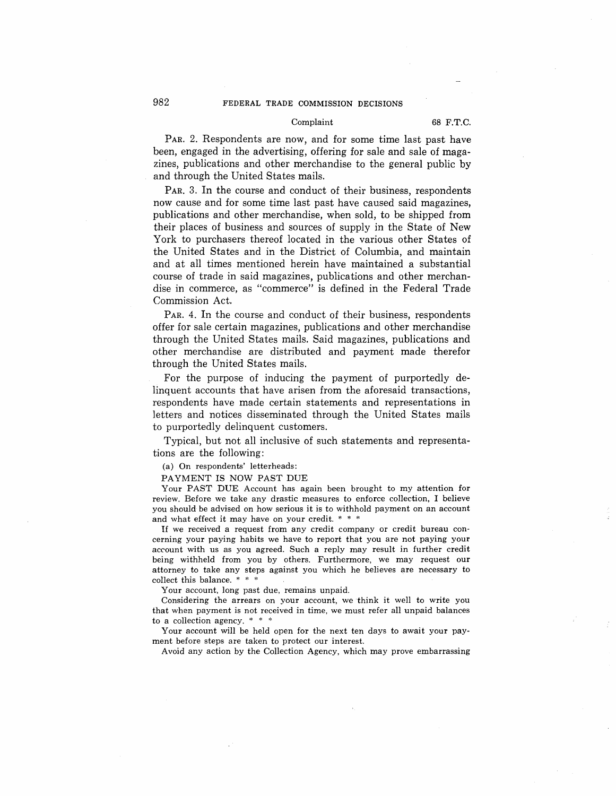### Complaint 68 F.T.C.

PAR. 2. Respondents are now, and for some time last past have been, engaged in the advertising, offering for sale and sale of magazines, publications and other merchandise to the general public by and through the United States mails.

PAR. 3. In the course and conduct of their business, respondents now cause and for some time last past have caused said magazines, publications and other merchandise, when sold, to be shipped from their places of business and sources of supply in the State of New York to purchasers thereof located in the various other States of the United States and in the District of Columbia, and maintain and at all times mentioned herein have maintained a substantial course of trade in said magazines, publications and other merchandise in commerce, as "commerce" is defined in the Federal Trade Commission Act.

PAR. 4. In the course and conduct of their business, respondents offer for sale certain magazines, publications and other merchandise through the United States mails. Said magazines, publications and other merchandise are distributed and payment made therefor through the United States mails.

For the purpose of inducing the payment of purportedly delinquent accounts that have arisen from the aforesaid transactions, respondents have made certain statements and representations in letters and notices disseminated through the United States mails to purportedly delinquent customers.

Typical, but not all inclusive of such statements and representations are the following:

(a) On respondents' letterheads:

PAYMENT IS NOW PAST DUE

Your PAST DUE Account has again been brought to my attention for review. Before we take any drastic measures to enforce collection, I believe you should be advised on how serious it is to withhold payment on an account and what effect it may have on your credit. \* \* \*

If we received a request from any credit company or credit bureau concerning your paying habits we have to report that you are not paying your account with us as you agreed. Such a reply may result in further credit being withheld from you by others. Furthermore, we may request our attorney to take any steps against you which he believes are necessary to collect this balance. \* \* \*

Your account, long past due, remains unpaid.

Considering the arrears on your account, we think it well to write you that when payment is not received in time, we must refer all unpaid balances to a collection agency. \* \* \*

Your account will be held open for the next ten days to await your payment before steps are taken to protect our interest.

Avoid any action by the Collection Agency, which may prove embarrassing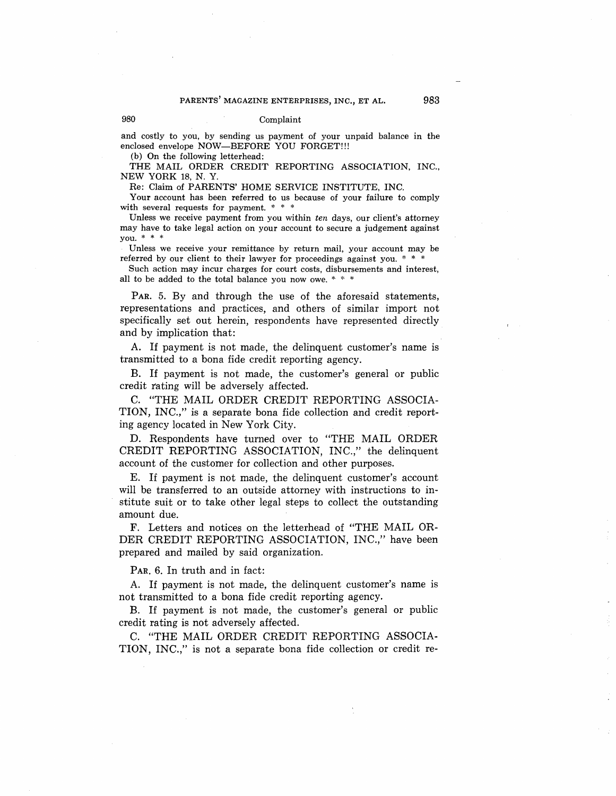### 980 Complaint

and costly to you, by sending us payment of your unpaid balance in the enclosed envelope NOW-BEFORE YOU FORGET!!!

(b) On the following letterhead:

THE MAIL ORDER CREDIT REPORTING ASSOCIATION, INC., NEW YORK 18, N. Y.

Re: Claim of PARENTS' HOME SERVICE INSTITUTE, INC.

Your account has been referred to us because of your failure to comply with several requests for payment. \* \* \*

Unless we receive payment from you within *ten* days, our client's attorney may have to take legal action on your account to secure a judgement against you. \* \* \*

Unless we receive your remittance by return mail, your account may be referred by our client to their lawyer for proceedings against you. \* \* \*

Such action may incur charges for court costs, disbursements and interest, all to be added to the total balance you now owe. \* \* \*

PAR. 5. By and through the use of the aforesaid statements, representations and practices, and others of similar import not specifically set out herein, respondents have represented directly and by implication that:

A. If payment is not made, the delinquent customer's name is transmitted to a bona fide credit reporting agency.

B. If payment is not made, the customer's general or public credit rating will be adversely affected.

C. "THE MAIL ORDER CREDIT REPORTING ASSOCIA-TION, INC.," is a separate bona fide collection and credit reporting agency located in New York City.

D. Respondents have turned over to "THE MAIL ORDER CREDIT REPORTING ASSOCIATION, INC.," the delinquent account of the customer for collection and other purposes.

E. If payment is not made, the delinquent customer's account will be transferred to an outside attorney with instructions to institute suit or to take other legal steps to collect the outstanding amount due.

F. Letters and notices on the letterhead of "THE MAIL OR-DER CREDIT REPORTING ASSOCIATION, INC.," have been prepared and mailed by said organization.

PAR. 6. In truth and in fact:

A. If payment is not made, the delinquent customer's name is not transmitted to a bona fide credit reporting agency.

B. If payment is not made, the customer's general or public credit rating is not adversely affected.

C. "THE MAIL ORDER CREDIT REPORTING ASSOCIA-TION, INC.," is not a separate bona fide collection or credit re-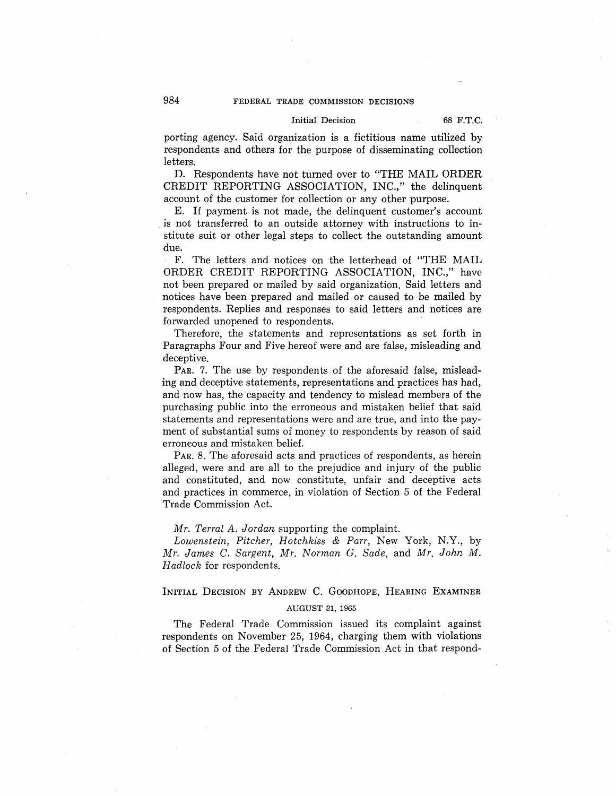## Initial Decision 68 F.T.C.

porting agency. Said organization is a fictitious name utilized by respondents and others for the purpose of disseminating collection letters.

D. Respondents have not turned over to "THE MAIL ORDER CREDIT REPORTING ASSOCIATION, INC.," the delinquent account of the customer for collection or any other purpose.

E. If payment is not made, the delinquent customer's account . is not transferred to an outside attorney with instructions to institute suit or other legal steps to collect the outstanding amount due.

F. The letters and notices on the letterhead of "THE MAIL ORDER CREDIT REPORTING ASSOCIATION, INC.," have not been prepared or mailed by said organization. Said letters and notices have been prepared and mailed or caused to be mailed by respondents. Replies and responses to said letters and notices are forwarded unopened to respondents.

Therefore, the statements and representations as set forth in Paragraphs Four and Five hereof were and are false, misleading and deceptive.

PAR. 7. The use by respondents of the aforesaid false, misleading and deceptive statements, representations and practices has had, and now has, the capacity and tendency to mislead members of the purchasing public into the erroneous and mistaken belief that said statements and representations were and are true, and into the payment of substantial sums of money to respondents by reason of said erroneous and mistaken belief.

PAR. 8. The aforesaid acts and practices of respondents, as herein alleged, were and are all to the prejudice and injury of the public and constituted, and now constitute, unfair and deceptive acts and practices in commerce, in violation of Section 5 of the Federal Trade Commission Act.

### *Mr. Terral A. Jordan* supporting the complaint.

*Lowenstein, Pitcher, Hotchkiss* & *Parr,* New York, N.Y., by *Mr. James* C. *Sargent, Mr. Norman G. Sade,* and *Mr. John M. Hadlock* for respondents.

## INITIAL DECISION BY ANDREW C. GooDHOPE, HEARING EXAMINER

### AUGUST 31, 1965

The Federal Trade Commission issued its complaint against respondents on November 25, 1964, charging them with violations of Section 5 of the Federal Trade Commission Act in that respond-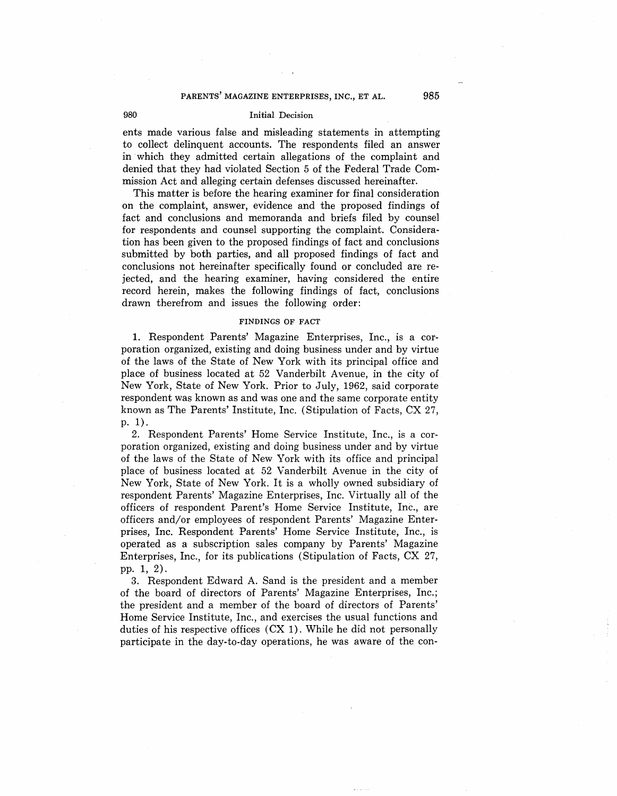## **PARENTS' MAGAZINE ENTERPRISES, INC., ET AL. 985**

## 980 Initial Decision

ents made various false and misleading statements in attempting to collect delinquent accounts. The respondents filed an answer in which they admitted certain allegations of the complaint and denied that they had violated Section 5 of the Federal Trade Commission Act and alleging certain defenses discussed hereinafter.

This matter is before the hearing examiner for final consideration on the complaint, answer, evidence and the proposed findings of fact and conclusions and memoranda and briefs filed by counsel for respondents and counsel supporting the complaint. Consideration has been given to the proposed findings of fact and conclusions submitted by both parties, and all proposed findings of fact and conclusions not hereinafter specifically found or concluded are rejected, and the hearing examiner, having considered the entire record herein, makes the following findings of fact, conclusions drawn therefrom and issues the following order:

### **FINDINGS OF FACT**

1. Respondent Parents' Magazine Enterprises, Inc., is a corporation organized, existing and doing business under and by virtue of the laws of the State of New York with its principal office and place of business located at 52 Vanderbilt Avenue, in the city of New York, State of New York. Prior to July, 1962, said corporate respondent was known as and was one and the same corporate entity known as The Parents' Institute, Inc. (Stipulation of Facts, CX 27, p. 1).

2. Respondent Parents' Home Service Institute, Inc., is a corporation organized, existing and doing business under and by virtue of the laws of the State of New York with its office and principal place of business located at 52 Vanderbilt Avenue in the city of New York, State of New York. It is a wholly owned subsidiary of respondent Parents' Magazine Enterprises, Inc. Virtually all of the officers of respondent Parent's Home Service Institute, Inc., are officers and/or employees of respondent Parents' Magazine Enterprises, Inc. Respondent Parents' Home Service Institute, Inc., is operated as a subscription sales company by Parents' Magazine Enterprises, Inc., for its publications (Stipulation of Facts, CX 27, pp. 1, 2).

3. Respondent Edward A. Sand is the president and a member of the board of directors of Parents' Magazine Enterprises, Inc.; the president and a member of the board of directors of Parents' Home Service Institute, Inc., and exercises the usual functions and duties of his respective offices (CX 1). While he did not personally participate in the day-to-day operations, he was aware of the con-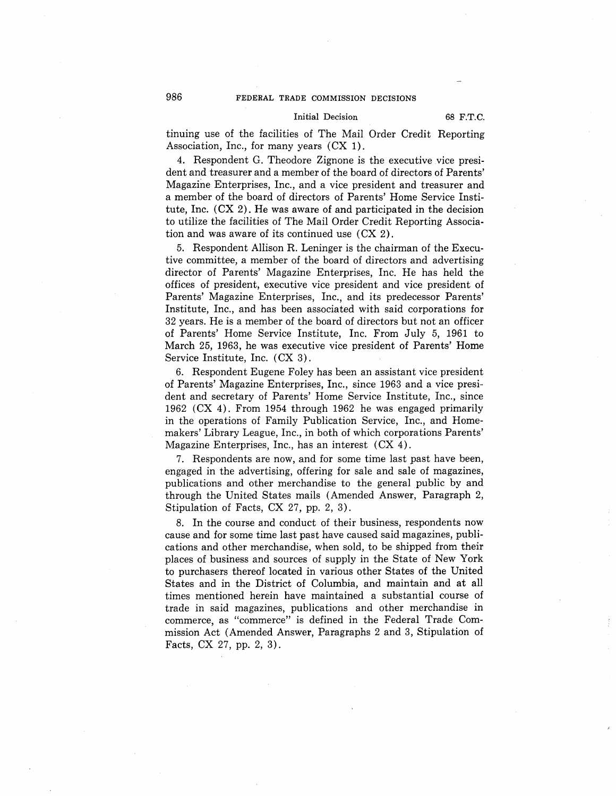### Initial Decision 68 F.T.C.

tinuing use of the facilities of The Mail Order Credit Reporting Association, Inc., for many years  $(CX_1)$ .

4. Respondent G. Theodore Zignone is the executive vice president and treasurer and a member of the board of directors of Parents' Magazine Enterprises, Inc., and a vice president and treasurer and a member of the board of directors of Parents' Home Service Institute, Inc. (CX 2). He was aware of and participated in the decision to utilize the facilities of The Mail Order Credit Reporting Association and was aware of its continued use  $(CX<sub>2</sub>)$ .

5. Respondent Allison R. Leninger is the chairman of the Executive committee, a member of the board of directors and advertising director of Parents' Magazine Enterprises, Inc. He has held the offices of president, executive vice president and vice president of Parents' Magazine Enterprises, Inc., and its predecessor Parents' Institute, Inc., and has been associated with said corporations for 32 years. He is a member of the board of directors but not an officer of Parents' Home Service Institute, Inc. From July 5, 1961 to March 25, 1963, he was executive vice president of Parents' Home Service Institute, Inc. (CX 3).

6. Respondent Eugene Foley has been an assistant vice president of Parents' Magazine Enterprises, Inc., since 1963 and a vice president and secretary of Parents' Home Service Institute, Inc., since 1962 (CX 4). From 1954 through 1962 he was engaged primarily in the operations of Family Publication Service, Inc., and Homemakers' Library League, Inc., in both of which corporations Parents' Magazine Enterprises, Inc., has an interest (CX 4).

7. Respondents are now, and for some time last past have been, engaged in the advertising, offering for sale and sale of magazines, publications and other merchandise to the general public by and through the United States mails (Amended Answer, Paragraph 2, Stipulation of Facts, CX 27, pp. 2, 3).

8. In the course and conduct of their business, respondents now cause and for some time last past have caused said magazines, publications and other merchandise, when sold, to be shipped from their places of business and sources of supply in the State of New York to purchasers thereof located in various other States of the United States and in the District of Columbia, and maintain and at all times mentioned herein have maintained a substantial course of trade in said magazines, publications and other merchandise in commerce, as "commerce" is defined in the Federal Trade Commission Act (Amended Answer, Paragraphs 2 and 3, Stipulation of Facts, CX 27, pp. 2, 3).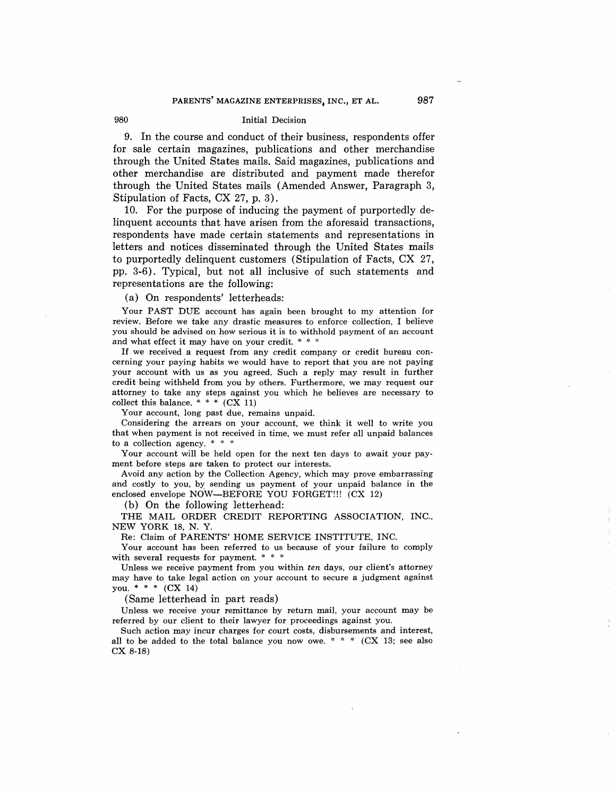### **PARENTS' MAGAZINE ENTERPRISES, INC., ET AL.**

Initial Decision

9. In the course and conduct of their business, respondents offer for sale certain magazines, publications and other merchandise through the United States mails. Said magazines, publications and other merchandise are distributed and payment made therefor through the United States mails (Amended Answer, Paragraph 3, Stipulation of Facts, CX 27, p. 3).

10. For the purpose of inducing the payment of purportedly delinquent accounts that have arisen from the aforesaid transactions, respondents have made certain statements and representations in letters and notices disseminated through the United States mails to purportedly delinquent customers (Stipulation of Facts, CX 27, pp. 3-6). Typical, but not all inclusive of such statements and representations are the following:

(a) On respondents' letterheads:

980

Your PAST DUE account has again been brought to my attention for review. Before we take any drastic measures to enforce collection, I believe you should be advised on how serious it is to withhold payment of an account and what effect it may have on your credit. \* \* \*

If we received a request from any credit company or credit bureau concerning your paying habits we would have to report that you are not paying your account with us as you agreed. Such a reply may result in further credit being withheld from you by others. Furthermore, we may request our attorney to take any steps against you which he believes are necessary to collect this balance.  $**$  (CX 11)

Your account, long past due, remains unpaid.

Considering the arrears on your account, we think it well to write you that when payment is not received in time, we must refer all unpaid balances to a collection agency. \* \* \*

Your account will be held open for the next ten days to await your payment before steps are taken to protect our interests.

Avoid any action by the Collection Agency, which may prove embarrassing and costly to you, by sending us payment of your unpaid balance in the enclosed envelope NOW-BEFORE YOU FORGET!!! (CX 12)

(b) On the following letterhead:

THE MAIL ORDER CREDIT REPORTING ASSOCIATION, INC., NEW YORK 18, N. Y.

Re: Claim of PARENTS' HOME SERVICE INSTITUTE, INC.

Your account has been referred to us because of your failure to comply with several requests for payment. \* \* \*

Unless we receive payment from you within *ten* days, our client's attorney may have to take legal action on your account to secure a judgment against you. \* \* \*  $(CX 14)$ 

(Same letterhead in part reads)

Unless we receive your remittance by return mail, your account may be referred by our client to their lawyer for proceedings against you.

Such action may incur charges for court costs, disbursements and interest, all to be added to the total balance you now owe. \* \* \*  $(CX_13;$  see also ex 8-18)

**987**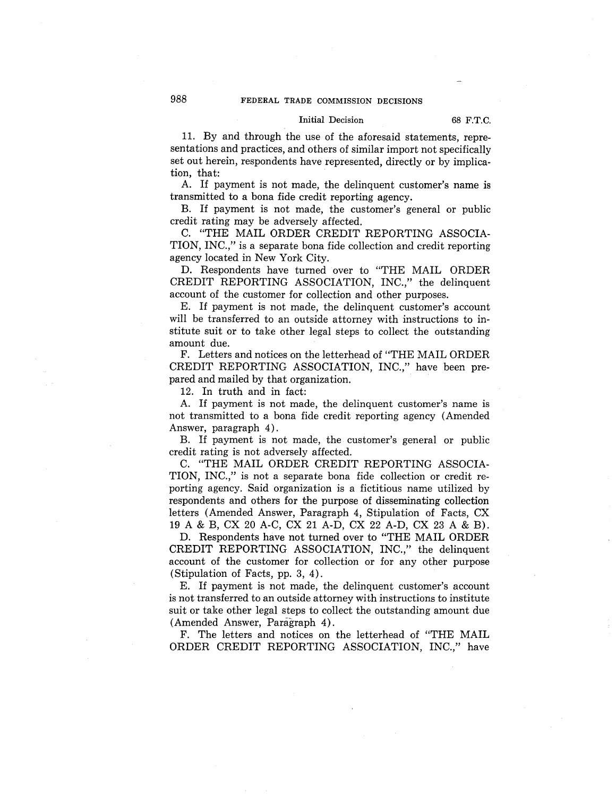## Initial Decision 68 F.T.C.

11. By and through the use of the aforesaid statements, representations and practices, and others of similar import not specifically set out herein, respondents have represented, directly or by implication, that:

A. If payment is not made, the delinquent customer's name is transmitted to a bona fide credit reporting agency.

B. If payment is not made, the customer's general or public credit rating may be adversely affected.

C. "THE MAIL ORDER CREDIT REPORTING ASSOCIA-TION, INC.," is a separate bona fide collection and credit reporting agency located in New York City.

D. Respondents have turned over to "THE MAIL ORDER CREDIT REPORTING ASSOCIATION, INC.," the delinquent account of the customer for collection and other purposes.

E. If payment is not made, the delinquent customer's account will be transferred to an outside attorney with instructions to institute suit or to take other legal steps to collect the outstanding amount due.

F. Letters and notices on the letterhead of "THE MAIL ORDER CREDIT REPORTING ASSOCIATION, INC.," have been prepared and mailed by that organization.

12. In truth and in fact:

A. If payment is not made, the delinquent customer's name is not transmitted to a bona fide credit reporting agency (Amended Answer, paragraph 4).

B. If payment is not made, the customer's general or public credit rating is not adversely affected.

C. "THE MAIL ORDER CREDIT REPORTING ASSOCIA-TION, INC.," is not a separate bona fide collection or credit reporting agency. Said organization is a fictitious name utilized by respondents and others for the purpose of disseminating collection letters (Amended Answer, Paragraph 4, Stipulation of Facts, CX 19 A & B, ex 20 A-C, ex 21 A-D, ex 22 A-D, ex 23 A & B).

D. Respondents have not turned over to "THE MAIL ORDER CREDIT REPORTING ASSOCIATION, INC.," the delinquent account of the customer for collection or for any other purpose (Stipulation of Facts, pp. 3, 4).

E. If payment is not made, the delinquent customer's account is not transferred to an outside attorney with instructions to institute suit or take other legal steps to collect the outstanding amount due (Amended Answer, Paragraph 4).

F. The letters and notices on the letterhead of "THE MAIL ORDER CREDIT REPORTING ASSOCIATION, INC.," have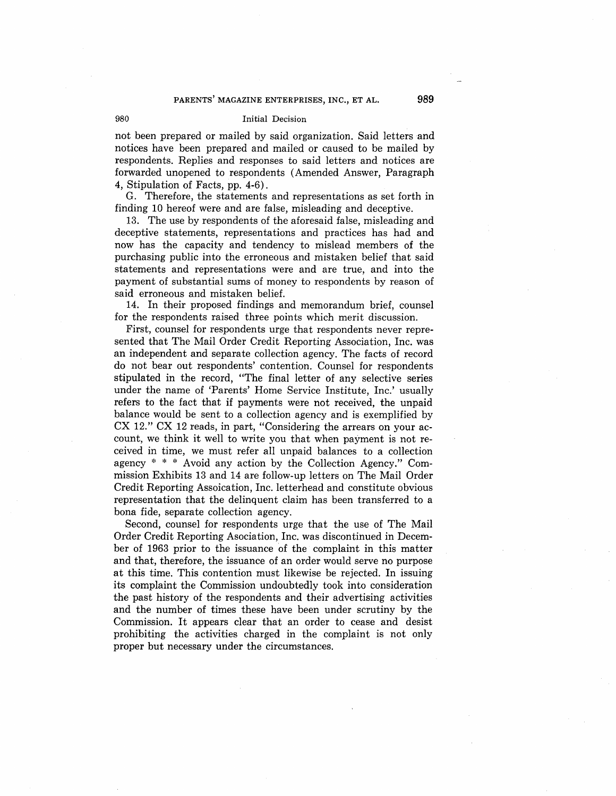### **PARENTS' MAGAZINE ENTERPRISES, INC., ET AL.**

#### Initial Decision

not been prepared or mailed by said organization. Said letters and notices have been prepared and mailed or caused to be mailed by respondents. Replies and responses to said letters and notices are forwarded unopened to respondents (Amended Answer, Paragraph 4, Stipulation of Facts, pp. 4-6).

G. Therefore, the statements and representations as set forth in finding 10 hereof were and are false, misleading and deceptive.

13. The use by respondents of the aforesaid false, misleading and deceptive statements, representations and practices has had and now has the capacity and tendency to mislead members of the purchasing public into the erroneous and mistaken belief that said statements and representations were and are true, and into the payment of substantial sums of money to respondents by reason of said erroneous and mistaken belief.

14. In their proposed findings and memorandum brief, counsel for the respondents raised three points which merit discussion.

First, counsel for respondents urge that respondents never represented that The Mail Order Credit Reporting Association, Inc. was an independent and separate collection agency. The facts of record do not bear out respondents' contention. Counsel for respondents stipulated in the record, "The final letter of any selective series under the name of 'Parents' Home Service Institute, Inc.' usually refers to the fact that if payments were not received, the unpaid balance would be sent to a collection agency and is exemplified by CX 12." CX 12 reads, in part, "Considering the arrears on your account, we think it well to write you that when payment is not received in time, we must refer all unpaid balances to a collection agency  $* * *$  Avoid any action by the Collection Agency." Commission Exhibits 13 and 14 are follow-up letters on The Mail Order Credit Reporting Assoication, Inc. letterhead and constitute obvious representation that the delinquent claim has been transferred to a bona fide, separate collection agency.

Second, counsel for respondents urge that the use of The Mail Order Credit Reporting Asociation, Inc. was discontinued in December of 1963 prior to the issuance of the complaint in this matter and that, therefore, the issuance of an order would serve no purpose at this time. This contention must likewise be rejected. In issuing its complaint the Commission undoubtedly took into consideration the past history of the respondents and their advertising activities and the number of times these have been under scrutiny by the Commission. It appears clear that an order to cease and desist prohibiting the activities charged in the complaint is not only proper but necessary under the circumstances.

980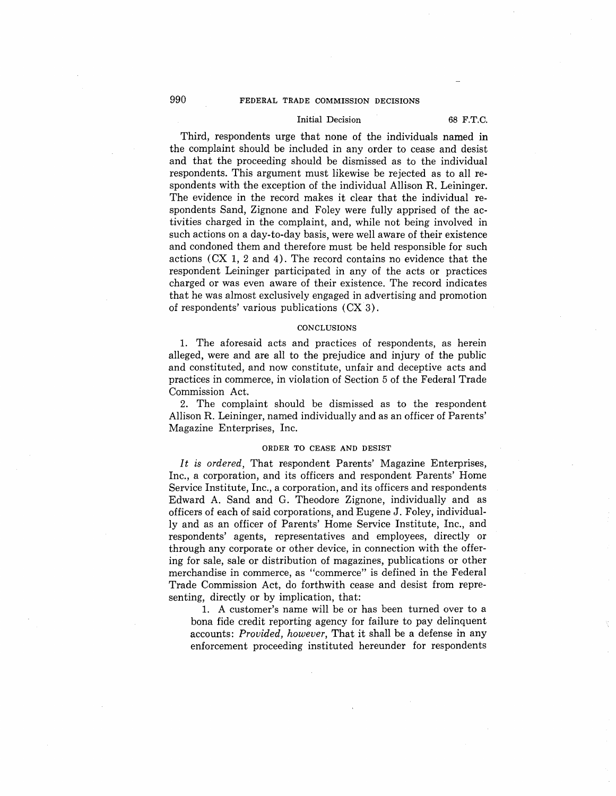## Initial Decision 68 F.T.C.

Third, respondents urge that none of the individuals named in the complaint should be included in any order to cease and desist and that the proceeding should be dismissed as to the individual respondents. This argument must likewise be rejected as to all respondents with the exception of the individual Allison R. Leininger. The evidence in the record makes it clear that the individual respondents Sand, Zignone and Foley were fully apprised of the activities charged in the complaint, and, while not being involved in such actions on a day-to-day basis, were well aware of their existence and condoned them and therefore must be held responsible for such actions (CX 1, 2 and 4). The record contains no evidence that the respondent Leininger participated in any of the acts or practices charged or was even aware of their existence. The record indicates that he was almost exclusively engaged in advertising and promotion of respondents' various publications ( CX 3).

### **CONCLUSIONS**

1. The aforesaid acts and practices of respondents, as herein alleged, were and are all to the prejudice and injury of the public and constituted, and now constitute, unfair and deceptive acts and practices in commerce, in violation of Section 5 of the Federal Trade Commission Act.

2. The complaint should be dismissed as to the respondent Allison R. Leininger, named individually and as an officer of Parents' Magazine Enterprises, Inc.

### **ORDER TO CEASE AND DESIST**

*It is ordered,* That respondent Parents' Magazine Enterprises, Inc., a corporation, and its officers and respondent Parents' Home Service Institute, Inc., a corporation, and its officers and respondents Edward A. Sand and G. Theodore Zignone, individually and as officers of each of said corporations, and Eugene J. Foley, individually and as an officer of Parents' Home Service Institute, Inc., and respondents' agents, representatives and employees, directly or through any corporate or other device, in connection with the offering for sale, sale or distribution of magazines, publications or other merchandise in commerce, as "commerce" is defined in the Federal Trade Commission Act, do forthwith cease and desist from representing, directly or by implication, that:

1. A customer's name will be or has been turned over to a bona fide credit reporting agency for failure to pay delinquent accounts: *Provided, however,* That it shall be a defense in any enforcement proceeding instituted hereunder for respondents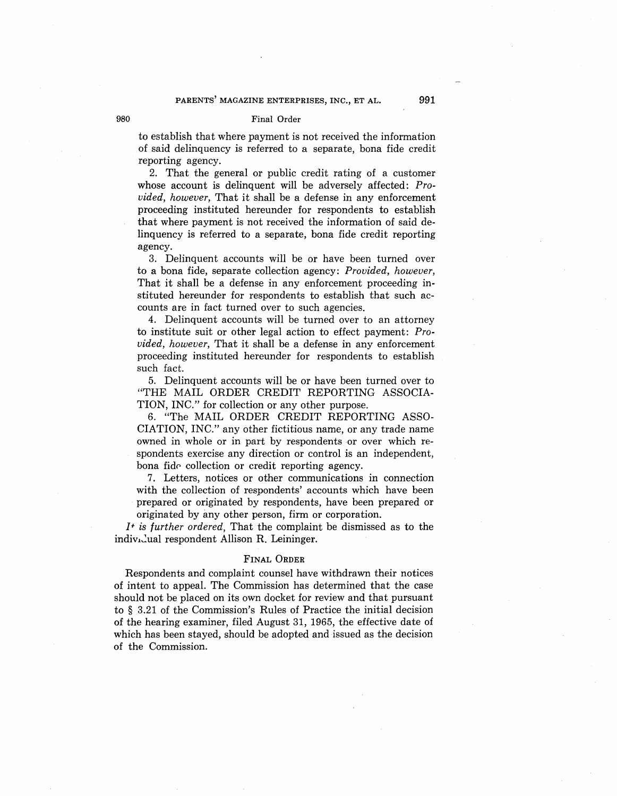### 980 Final Order

to establish that where payment is not received the information of said delinquency is referred to a separate, bona fide credit reporting agency.

2. That the general or public credit rating of a customer whose account is delinquent will be adversely affected: *Provided, however,* That it shall be a defense in any enforcement proceeding instituted hereunder for respondents to establish that where payment is not received the information of said delinquency is referred to a separate, bona fide credit reporting agency.

3. Delinquent accounts will be or have been turned over to a bona fide, separate collection agency: *Provided, however,*  That it shall be a defense in any enforcement proceeding instituted hereunder for respondents to establish that such accounts are in fact turned over to such agencies.

4. Delinquent accounts will be turned over to an attorney to institute suit or other legal action to effect payment: *Provided, however,* That it shall be a defense in any enforcement proceeding instituted hereunder for respondents to establish such fact.

5. Delinquent accounts will be or have been turned over to "THE MAIL ORDER CREDIT REPORTING ASSOCIA-TION, INC." for collection or any other purpose.

6. "The MAIL ORDER CREDIT REPORTING ASSO-CIATION, INC." any other fictitious name, or any trade name owned in whole or in part by respondents or over which respondents exercise any direction or control is an independent, bona fide collection or credit reporting agency.

7. Letters, notices or other communications in connection with the collection of respondents' accounts which have been prepared or originated by respondents, have been prepared or originated by any other person, firm or corporation.

J+ *is further ordered,* That the complaint be dismissed as to the indiv<sub>isc</sub>ual respondent Allison R. Leininger.

### FINAL ORDER

Respondents and complaint counsel have withdrawn their notices of intent to appeal. The Commission has determined that the case should not be placed on its own docket for review and that pursuant to § 3.21 of the Commission's Rules of Practice the initial decision of the hearing examiner, filed August 31, 1965, the effective date of which has been stayed, should be adopted and issued as the decision of the Commission.